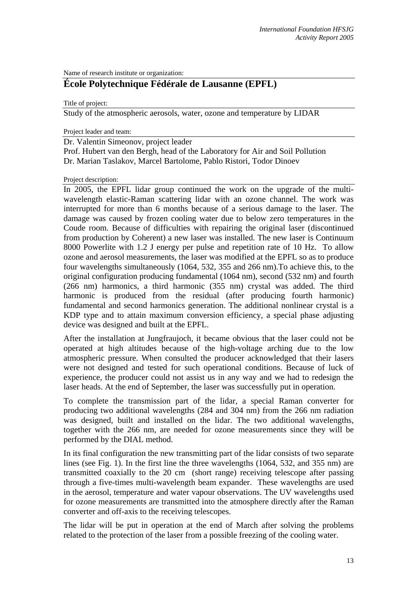Name of research institute or organization:

## **École Polytechnique Fédérale de Lausanne (EPFL)**

Title of project:

Study of the atmospheric aerosols, water, ozone and temperature by LIDAR

Project leader and team:

Project description:

Dr. Valentin Simeonov, project leader Prof. Hubert van den Bergh, head of the Laboratory for Air and Soil Pollution Dr. Marian Taslakov, Marcel Bartolome, Pablo Ristori, Todor Dinoev

In 2005, the EPFL lidar group continued the work on the upgrade of the multiwavelength elastic-Raman scattering lidar with an ozone channel. The work was interrupted for more than 6 months because of a serious damage to the laser. The damage was caused by frozen cooling water due to below zero temperatures in the Coude room. Because of difficulties with repairing the original laser (discontinued from production by Coherent) a new laser was installed. The new laser is Continuum 8000 Powerlite with 1.2 J energy per pulse and repetition rate of 10 Hz. To allow ozone and aerosol measurements, the laser was modified at the EPFL so as to produce four wavelengths simultaneously (1064, 532, 355 and 266 nm).To achieve this, to the original configuration producing fundamental (1064 nm), second (532 nm) and fourth (266 nm) harmonics, a third harmonic (355 nm) crystal was added. The third harmonic is produced from the residual (after producing fourth harmonic) fundamental and second harmonics generation. The additional nonlinear crystal is a KDP type and to attain maximum conversion efficiency, a special phase adjusting device was designed and built at the EPFL.

After the installation at Jungfraujoch, it became obvious that the laser could not be operated at high altitudes because of the high-voltage arching due to the low atmospheric pressure. When consulted the producer acknowledged that their lasers were not designed and tested for such operational conditions. Because of luck of experience, the producer could not assist us in any way and we had to redesign the laser heads. At the end of September, the laser was successfully put in operation.

To complete the transmission part of the lidar, a special Raman converter for producing two additional wavelengths (284 and 304 nm) from the 266 nm radiation was designed, built and installed on the lidar. The two additional wavelengths, together with the 266 nm, are needed for ozone measurements since they will be performed by the DIAL method.

In its final configuration the new transmitting part of the lidar consists of two separate lines (see Fig. 1). In the first line the three wavelengths (1064, 532, and 355 nm) are transmitted coaxially to the 20 cm (short range) receiving telescope after passing through a five-times multi-wavelength beam expander. These wavelengths are used in the aerosol, temperature and water vapour observations. The UV wavelengths used for ozone measurements are transmitted into the atmosphere directly after the Raman converter and off-axis to the receiving telescopes.

The lidar will be put in operation at the end of March after solving the problems related to the protection of the laser from a possible freezing of the cooling water.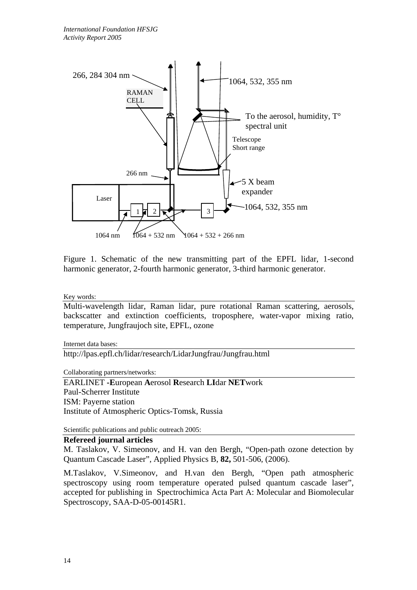

Figure 1. Schematic of the new transmitting part of the EPFL lidar, 1-second harmonic generator, 2-fourth harmonic generator, 3-third harmonic generator.

Key words:

Multi-wavelength lidar, Raman lidar, pure rotational Raman scattering, aerosols, backscatter and extinction coefficients, troposphere, water-vapor mixing ratio, temperature, Jungfraujoch site, EPFL, ozone

Internet data bases:

http://lpas.epfl.ch/lidar/research/LidarJungfrau/Jungfrau.html

Collaborating partners/networks:

EARLINET **-E**uropean **A**erosol **R**esearch **LI**dar **NET**work Paul-Scherrer Institute ISM: Payerne station Institute of Atmospheric Optics-Tomsk, Russia

Scientific publications and public outreach 2005:

**Refereed journal articles** 

M. Taslakov, V. Simeonov, and H. van den Bergh, "Open-path ozone detection by Quantum Cascade Laser", Applied Physics B, **82,** 501-506, (2006).

M.Taslakov, V.Simeonov, and H.van den Bergh, "Open path atmospheric spectroscopy using room temperature operated pulsed quantum cascade laser", accepted for publishing in Spectrochimica Acta Part A: Molecular and Biomolecular Spectroscopy, SAA-D-05-00145R1.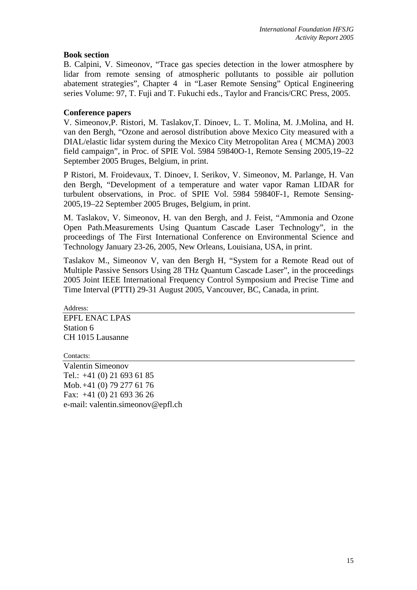## **Book section**

B. Calpini, V. Simeonov, "Trace gas species detection in the lower atmosphere by lidar from remote sensing of atmospheric pollutants to possible air pollution abatement strategies", Chapter 4 in "Laser Remote Sensing" Optical Engineering series Volume: 97, T. Fuji and T. Fukuchi eds., Taylor and Francis/CRC Press, 2005.

## **Conference papers**

V. Simeonov,P. Ristori, M. Taslakov,T. Dinoev, L. T. Molina, M. J.Molina, and H. van den Bergh, "Ozone and aerosol distribution above Mexico City measured with a DIAL/elastic lidar system during the Mexico City Metropolitan Area ( MCMA) 2003 field campaign", in Proc. of SPIE Vol. 5984 59840O-1, Remote Sensing 2005,19–22 September 2005 Bruges, Belgium, in print.

P Ristori, M. Froidevaux, T. Dinoev, I. Serikov, V. Simeonov, M. Parlange, H. Van den Bergh, "Development of a temperature and water vapor Raman LIDAR for turbulent observations, in Proc. of SPIE Vol. 5984 59840F-1, Remote Sensing-2005,19–22 September 2005 Bruges, Belgium, in print.

M. Taslakov, V. Simeonov, H. van den Bergh, and J. Feist, "Ammonia and Ozone Open Path.Measurements Using Quantum Cascade Laser Technology", in the proceedings of The First International Conference on Environmental Science and Technology January 23-26, 2005, New Orleans, Louisiana, USA, in print.

Taslakov M., Simeonov V, van den Bergh H, "System for a Remote Read out of Multiple Passive Sensors Using 28 THz Quantum Cascade Laser", in the proceedings 2005 Joint IEEE International Frequency Control Symposium and Precise Time and Time Interval (PTTI) 29-31 August 2005, Vancouver, BC, Canada, in print.

Address: EPFL ENAC LPAS Station 6 CH 1015 Lausanne

Contacts: Valentin Simeonov

Tel.: +41 (0) 21 693 61 85 Mob. +41 (0) 79 277 61 76 Fax: +41 (0) 21 693 36 26 e-mail: valentin.simeonov@epfl.ch